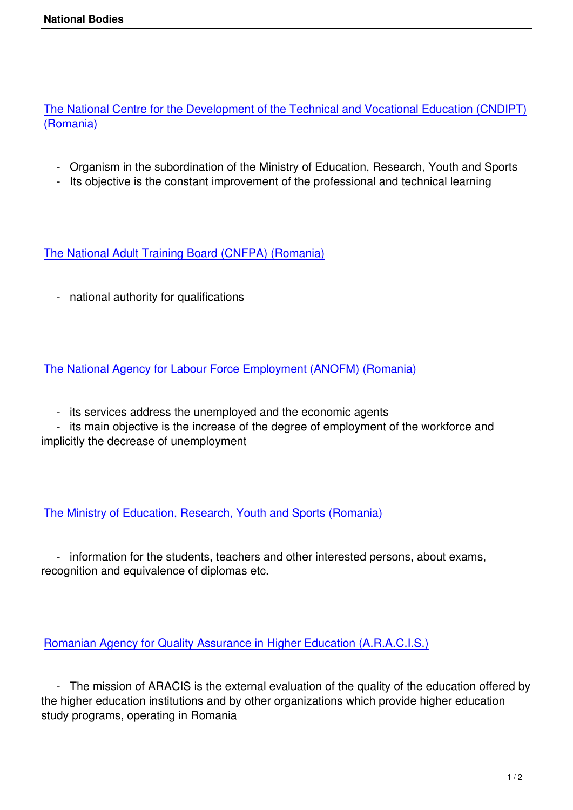The National Centre for the Development of the Technical and Vocational Education (CNDIPT) (Romania)

- [Organism in the subordination of the Ministry of Education, Research, Youth and Sports](http://www.tvet.ro)
- Its objective is the constant improvement of the professional and technical learning

The National Adult Training Board (CNFPA) (Romania)

 [- national authority for qualifications](http://www.cnfpa.ro) 

The National Agency for Labour Force Employment (ANOFM) (Romania)

 [- its services address the unemployed and the economic agents](http://www.anofm.ro) 

 - its main objective is the increase of the degree of employment of the workforce and implicitly the decrease of unemployment

The Ministry of Education, Research, Youth and Sports (Romania)

 [- information for the students, teachers and other interested pe](http://www.edu.ro)rsons, about exams, recognition and equivalence of diplomas etc.

Romanian Agency for Quality Assurance in Higher Education (A.R.A.C.I.S.)

 [- The mission of ARACIS is the external evaluation of the quality of the e](http://www.aracis.ro)ducation offered by the higher education institutions and by other organizations which provide higher education study programs, operating in Romania